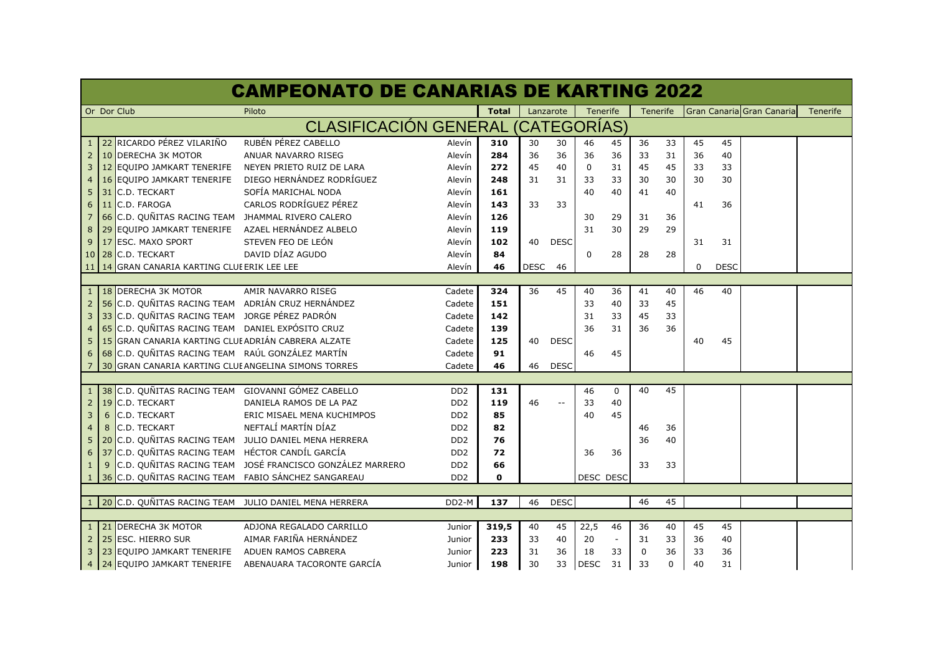| <b>CAMPEONATO DE CANARIAS DE KARTING 2022</b>     |    |                                                     |                                                          |                             |              |             |             |             |             |             |          |    |             |                           |                 |
|---------------------------------------------------|----|-----------------------------------------------------|----------------------------------------------------------|-----------------------------|--------------|-------------|-------------|-------------|-------------|-------------|----------|----|-------------|---------------------------|-----------------|
|                                                   |    | Or Dor Club                                         | Piloto                                                   |                             | <b>Total</b> |             | Lanzarote   | Tenerife    |             |             | Tenerife |    |             | Gran Canaria Gran Canaria | <b>Tenerife</b> |
| <b>CLASIFICACIÓN GENERAL</b><br><b>CATEGORIAS</b> |    |                                                     |                                                          |                             |              |             |             |             |             |             |          |    |             |                           |                 |
|                                                   |    | 1 22 RICARDO PÉREZ VILARIÑO                         | RUBÉN PÉREZ CABELLO                                      | Alevín                      | 310          | 30          | 30          | 46          | 45          | 36          | 33       | 45 | 45          |                           |                 |
| $\overline{2}$                                    | 10 | <b>DERECHA 3K MOTOR</b>                             | ANUAR NAVARRO RISEG                                      | Alevín                      | 284          | 36          | 36          | 36          | 36          | 33          | 31       | 36 | 40          |                           |                 |
| 3                                                 | 12 | <b>EQUIPO JAMKART TENERIFE</b>                      | NEYEN PRIETO RUIZ DE LARA                                | Alevín                      | 272          | 45          | 40          | $\mathbf 0$ | 31          | 45          | 45       | 33 | 33          |                           |                 |
|                                                   |    | <b>16 EQUIPO JAMKART TENERIFE</b>                   | DIEGO HERNÁNDEZ RODRÍGUEZ                                | Alevín                      | 248          | 31          | 31          | 33          | 33          | 30          | 30       | 30 | 30          |                           |                 |
| 5                                                 |    | 31 C.D. TECKART                                     | SOFÍA MARICHAL NODA                                      | Alevín                      | 161          |             |             | 40          | 40          | 41          | 40       |    |             |                           |                 |
| 6                                                 |    | 11 C.D. FAROGA                                      | CARLOS RODRÍGUEZ PÉREZ                                   | Alevín                      | 143          | 33          | 33          |             |             |             |          | 41 | 36          |                           |                 |
| 7                                                 |    | 66 C.D. QUÑITAS RACING TEAM JHAMMAL RIVERO CALERO   |                                                          | Alevín                      | 126          |             |             | 30          | 29          | 31          | 36       |    |             |                           |                 |
| 8                                                 |    | 29 EQUIPO JAMKART TENERIFE AZAEL HERNÁNDEZ ALBELO   |                                                          | Alevín                      | 119          |             |             | 31          | 30          | 29          | 29       |    |             |                           |                 |
| 9                                                 |    | 17 ESC. MAXO SPORT                                  | STEVEN FEO DE LEÓN                                       | Alevín                      | 102          | 40          | <b>DESC</b> |             |             |             |          | 31 | 31          |                           |                 |
|                                                   |    | 10 28 C.D. TECKART                                  | DAVID DÍAZ AGUDO                                         | Alevín                      | 84           |             |             | 0           | 28          | 28          | 28       |    |             |                           |                 |
|                                                   |    | 11 14 GRAN CANARIA KARTING CLUI ERIK LEE LEE        |                                                          | Alevín                      | 46           | <b>DESC</b> | 46          |             |             |             |          | 0  | <b>DESC</b> |                           |                 |
|                                                   |    |                                                     |                                                          |                             |              |             |             |             |             |             |          |    |             |                           |                 |
|                                                   |    | 1 18 DERECHA 3K MOTOR                               | AMIR NAVARRO RISEG                                       | Cadete                      | 324          | 36          | 45          | 40          | 36          | 41          | 40       | 46 | 40          |                           |                 |
| $\overline{2}$                                    |    | 56 C.D. QUÑITAS RACING TEAM ADRIÁN CRUZ HERNÁNDEZ   |                                                          | Cadete                      | 151          |             |             | 33          | 40          | 33          | 45       |    |             |                           |                 |
| 3                                                 |    | 33 C.D. QUÑITAS RACING TEAM JORGE PÉREZ PADRÓN      |                                                          | Cadete                      | 142          |             |             | 31          | 33          | 45          | 33       |    |             |                           |                 |
| 4                                                 |    | 65 C.D. QUÑITAS RACING TEAM DANIEL EXPÓSITO CRUZ    |                                                          | Cadete                      | 139          |             |             | 36          | 31          | 36          | 36       |    |             |                           |                 |
| 5                                                 |    | 15 GRAN CANARIA KARTING CLUI ADRIÁN CABRERA ALZATE  |                                                          | Cadete                      | 125          | 40          | <b>DESC</b> |             |             |             |          | 40 | 45          |                           |                 |
| 6                                                 |    | 68 C.D. QUÑITAS RACING TEAM RAÚL GONZÁLEZ MARTÍN    |                                                          | Cadete                      | 91           |             |             | 46          | 45          |             |          |    |             |                           |                 |
| 7                                                 |    | 30 GRAN CANARIA KARTING CLUI ANGELINA SIMONS TORRES |                                                          | Cadete                      | 46           | 46          | <b>DESC</b> |             |             |             |          |    |             |                           |                 |
|                                                   |    |                                                     |                                                          |                             |              |             |             |             |             |             |          |    |             |                           |                 |
| 1 <sup>1</sup>                                    |    | 38 C.D. QUÑITAS RACING TEAM GIOVANNI GÓMEZ CABELLO  |                                                          | D <sub>D</sub> <sub>2</sub> | 131          |             |             | 46          | $\mathbf 0$ | 40          | 45       |    |             |                           |                 |
| $\overline{2}$                                    | 19 | C.D. TECKART                                        | DANIELA RAMOS DE LA PAZ                                  | D <sub>D</sub> <sub>2</sub> | 119          | 46          | $-$         | 33          | 40          |             |          |    |             |                           |                 |
| 3                                                 | 6  | C.D. TECKART                                        | ERIC MISAEL MENA KUCHIMPOS                               | D <sub>D</sub> <sub>2</sub> | 85           |             |             | 40          | 45          |             |          |    |             |                           |                 |
| 4                                                 | 8  | C.D. TECKART                                        | NEFTALÍ MARTÍN DÍAZ                                      | D <sub>D</sub> <sub>2</sub> | 82           |             |             |             |             | 46          | 36       |    |             |                           |                 |
| 5                                                 |    |                                                     | 20 C.D. QUÑITAS RACING TEAM JULIO DANIEL MENA HERRERA    | DD <sub>2</sub>             | 76           |             |             |             |             | 36          | 40       |    |             |                           |                 |
| 6                                                 |    | 37 C.D. QUÑITAS RACING TEAM HÉCTOR CANDÍL GARCÍA    |                                                          | D <sub>D</sub> <sub>2</sub> | 72           |             |             | 36          | 36          |             |          |    |             |                           |                 |
| $\mathbf{1}$                                      | 9  |                                                     | C.D. QUÑITAS RACING TEAM JOSÉ FRANCISCO GONZÁLEZ MARRERO | D <sub>D</sub> <sub>2</sub> | 66           |             |             |             |             | 33          | 33       |    |             |                           |                 |
| 1                                                 |    | 36 C.D. QUÑITAS RACING TEAM FABIO SÁNCHEZ SANGAREAU |                                                          | D <sub>D</sub> <sub>2</sub> | O            |             |             | DESC DESC   |             |             |          |    |             |                           |                 |
|                                                   |    |                                                     |                                                          |                             |              |             |             |             |             |             |          |    |             |                           |                 |
|                                                   |    |                                                     | 20 C.D. QUÑITAS RACING TEAM JULIO DANIEL MENA HERRERA    | DD <sub>2</sub> -M          | 137          | 46          | <b>DESC</b> |             |             | 46          | 45       |    |             |                           |                 |
|                                                   |    |                                                     |                                                          |                             |              |             |             |             |             |             |          |    |             |                           |                 |
| $\mathbf{1}$                                      | 21 | <b>DERECHA 3K MOTOR</b>                             | ADJONA REGALADO CARRILLO                                 | Junior                      | 319,5        | 40          | 45          | 22,5        | 46          | 36          | 40       | 45 | 45          |                           |                 |
| $\overline{2}$                                    | 25 | <b>ESC. HIERRO SUR</b>                              | AIMAR FARIÑA HERNÁNDEZ                                   | Junior                      | 233          | 33          | 40          | 20          |             | 31          | 33       | 36 | 40          |                           |                 |
| 3                                                 |    | 23 EQUIPO JAMKART TENERIFE                          | ADUEN RAMOS CABRERA                                      | Junior                      | 223          | 31          | 36          | 18          | 33          | $\mathbf 0$ | 36       | 33 | 36          |                           |                 |
| 4                                                 |    | 24 EQUIPO JAMKART TENERIFE                          | ABENAUARA TACORONTE GARCÍA                               | Junior                      | 198          | 30          | 33          | <b>DESC</b> | 31          | 33          | $\Omega$ | 40 | 31          |                           |                 |